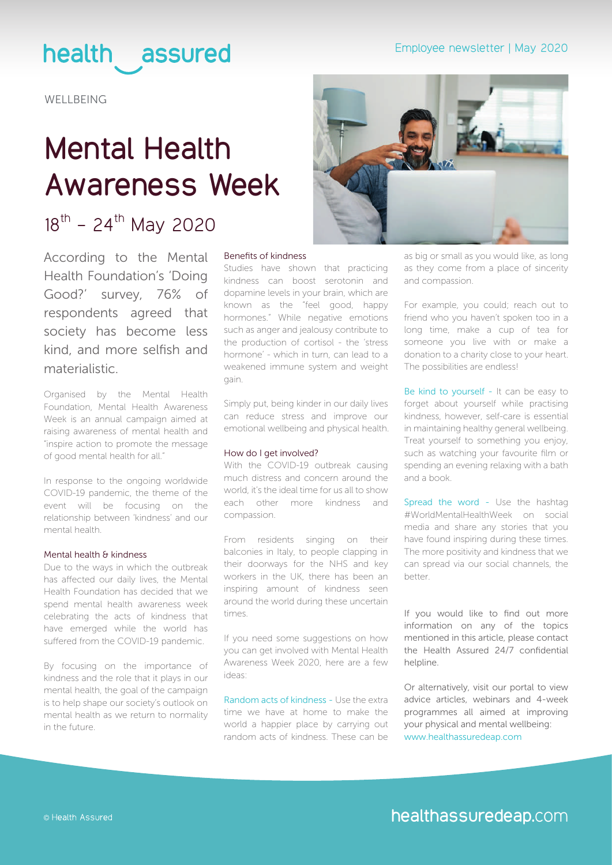# health assured

**WELLBEING** 

# **Mental Health Awareness Week**

## $18^{th}$  - 24<sup>th</sup> May 2020

According to the Mental Health Foundation's 'Doing Good?' survey, 76% of respondents agreed that society has become less kind, and more selfish and materialistic.

Organised by the Mental Health Foundation, Mental Health Awareness Week is an annual campaign aimed at raising awareness of mental health and "inspire action to promote the message of good mental health for all."

In response to the ongoing worldwide COVID-19 pandemic, the theme of the event will be focusing on the relationship between 'kindness' and our mental health.

### Mental health & kindness

Due to the ways in which the outbreak has affected our daily lives, the Mental Health Foundation has decided that we spend mental health awareness week celebrating the acts of kindness that have emerged while the world has suffered from the COVID-19 pandemic.

By focusing on the importance of kindness and the role that it plays in our mental health, the goal of the campaign is to help shape our society's outlook on mental health as we return to normality in the future.



### Benefits of kindness

Studies have shown that practicing kindness can boost serotonin and dopamine levels in your brain, which are known as the "feel good, happy hormones." While negative emotions such as anger and jealousy contribute to the production of cortisol - the 'stress hormone' - which in turn, can lead to a weakened immune system and weight gain.

Simply put, being kinder in our daily lives can reduce stress and improve our emotional wellbeing and physical health.

### How do I get involved?

With the COVID-19 outbreak causing much distress and concern around the world, it's the ideal time for us all to show each other more kindness and compassion.

From residents singing on their balconies in Italy, to people clapping in their doorways for the NHS and key workers in the UK, there has been an inspiring amount of kindness seen around the world during these uncertain times.

If you need some suggestions on how you can get involved with Mental Health Awareness Week 2020, here are a few ideas:

Random acts of kindness - Use the extra time we have at home to make the world a happier place by carrying out random acts of kindness. These can be as big or small as you would like, as long as they come from a place of sincerity and compassion.

For example, you could; reach out to friend who you haven't spoken too in a long time, make a cup of tea for someone you live with or make a donation to a charity close to your heart. The possibilities are endless!

Be kind to yourself - It can be easy to forget about yourself while practising kindness, however, self-care is essential in maintaining healthy general wellbeing. Treat yourself to something you enjoy, such as watching your favourite film or spending an evening relaxing with a bath and a book.

Spread the word - Use the hashtag #WorldMentalHealthWeek on social media and share any stories that you have found inspiring during these times. The more positivity and kindness that we can spread via our social channels, the better.

If you would like to find out more information on any of the topics mentioned in this article, please contact the Health Assured 24/7 confidential helpline.

Or alternatively, visit our portal to view advice articles, webinars and 4-week programmes all aimed at improving your physical and mental wellbeing: [www.healthassuredeap.com](www.healthassuredeap.co.uk)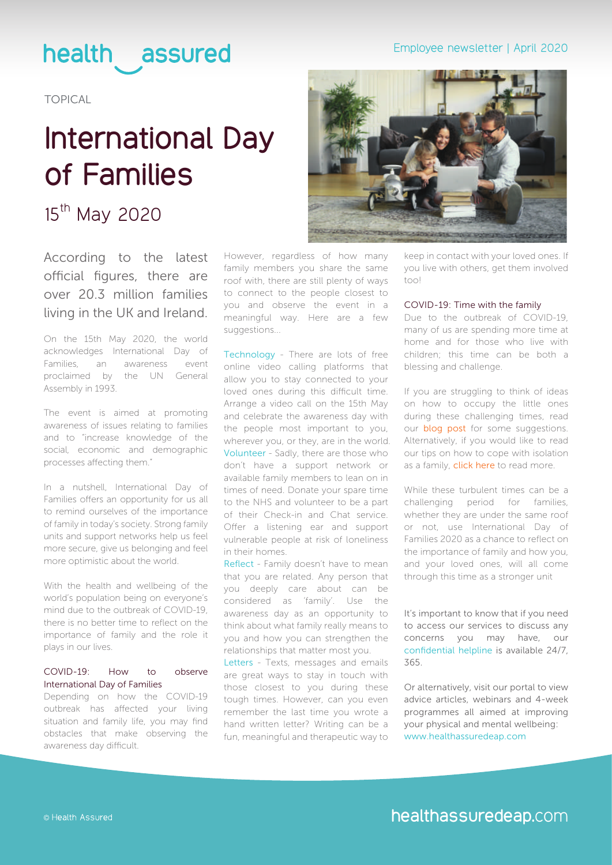## Employee newsletter | April 2020

# health assured

TOPICAL

# **International Day of Families**

## 15<sup>th</sup> May 2020

According to the latest official figures, there are over 20.3 million families living in the UK and Ireland.

On the 15th May 2020, the world acknowledges International Day of Families, an awareness event proclaimed by the UN General Assembly in 1993.

The event is aimed at promoting awareness of issues relating to families and to "increase knowledge of the social, economic and demographic processes affecting them."

In a nutshell, International Day of Families offers an opportunity for us all to remind ourselves of the importance of family in today's society. Strong family units and support networks help us feel more secure, give us belonging and feel more optimistic about the world.

With the health and wellbeing of the world's population being on everyone's mind due to the outbreak of COVID-19, there is no better time to reflect on the importance of family and the role it plays in our lives.

## COVID-19: How to observe International Day of Families

Depending on how the COVID-19 outbreak has affected your living situation and family life, you may find obstacles that make observing the awareness day difficult.

However, regardless of how many family members you share the same roof with, there are still plenty of ways to connect to the people closest to you and observe the event in a meaningful way. Here are a few suggestions...

Technology - There are lots of free online video calling platforms that allow you to stay connected to your loved ones during this difficult time. Arrange a video call on the 15th May and celebrate the awareness day with the people most important to you, wherever you, or they, are in the world. Volunteer - Sadly, there are those who don't have a support network or available family members to lean on in times of need. Donate your spare time to the NHS and volunteer to be a part of their Check-in and Chat service. Offer a listening ear and support vulnerable people at risk of loneliness in their homes.

Reflect - Family doesn't have to mean that you are related. Any person that you deeply care about can be considered as 'family'. Use the awareness day as an opportunity to think about what family really means to you and how you can strengthen the relationships that matter most you.

Letters - Texts, messages and emails are great ways to stay in touch with those closest to you during these tough times. However, can you even remember the last time you wrote a hand written letter? Writing can be a fun, meaningful and therapeutic way to



keep in contact with your loved ones. If you live with others, get them involved  $t \cap \cap$ 

## COVID-19: Time with the family

Due to the outbreak of COVID-19, many of us are spending more time at home and for those who live with children; this time can be both a blessing and challenge.

If you are struggling to think of ideas on how to occupy the little ones during these challenging times, read our **blog post** for some suggestions. Alternatively, if you would like to read our tips on how to cope with isolation as a family, [click here](https://www.healthassured.org/blog/how-to-cope-as-a-family-in-isolation/) to read more.

While these turbulent times can be a challenging period for families, whether they are under the same roof or not, use International Day of Families 2020 as a chance to reflect on the importance of family and how you, and your loved ones, will all come through this time as a stronger unit

It's important to know that if you need to access our services to discuss any concerns you may have, our confidential helpline is available 24/7, 365.

Or alternatively, visit our portal to view advice articles, webinars and 4-week programmes all aimed at improving your physical and mental wellbeing: [www.healthassuredeap.com](www.healthassuredeap.co.uk)